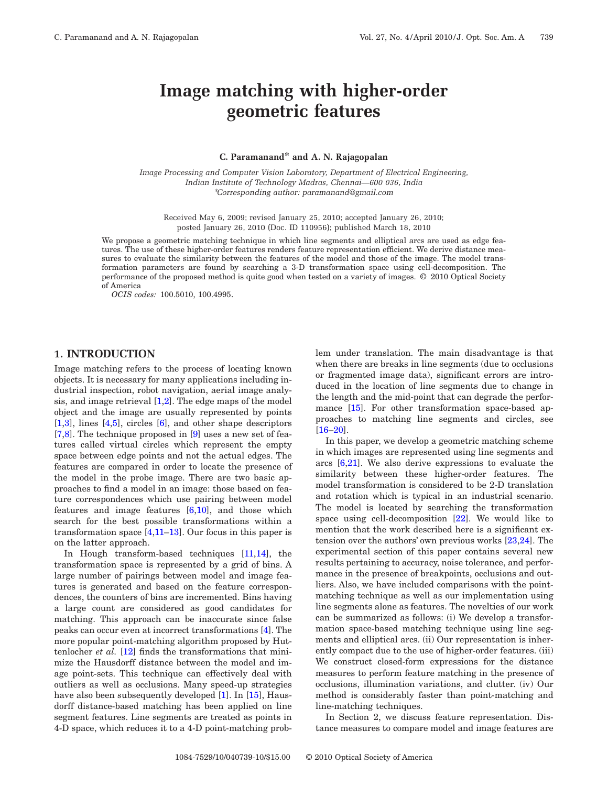# **Image matching with higher-order geometric features**

#### **C. Paramanand\* and A. N. Rajagopalan**

*Image Processing and Computer Vision Laboratory, Department of Electrical Engineering, Indian Institute of Technology Madras, Chennai—600 036, India* \**Corresponding author: paramanand@gmail.com*

Received May 6, 2009; revised January 25, 2010; accepted January 26, 2010; posted January 26, 2010 (Doc. ID 110956); published March 18, 2010

We propose a geometric matching technique in which line segments and elliptical arcs are used as edge features. The use of these higher-order features renders feature representation efficient. We derive distance measures to evaluate the similarity between the features of the model and those of the image. The model transformation parameters are found by searching a 3-D transformation space using cell-decomposition. The performance of the proposed method is quite good when tested on a variety of images. © 2010 Optical Society of America

*OCIS codes:* 100.5010, 100.4995.

## **1. INTRODUCTION**

Image matching refers to the process of locating known objects. It is necessary for many applications including industrial inspection, robot navigation, aerial image analysis, and image retrieval  $[1,2]$  $[1,2]$ . The edge maps of the model object and the image are usually represented by points [\[1,](#page-8-0)[3\]](#page-8-2), lines [\[4](#page-8-3)[,5\]](#page-8-4), circles [\[6\]](#page-8-5), and other shape descriptors [\[7,](#page-9-0)[8\]](#page-9-1). The technique proposed in [\[9\]](#page-9-2) uses a new set of features called virtual circles which represent the empty space between edge points and not the actual edges. The features are compared in order to locate the presence of the model in the probe image. There are two basic approaches to find a model in an image: those based on feature correspondences which use pairing between model features and image features  $[6,10]$  $[6,10]$ , and those which search for the best possible transformations within a transformation space  $[4,11-13]$  $[4,11-13]$  $[4,11-13]$ . Our focus in this paper is on the latter approach.

In Hough transform-based techniques [\[11,](#page-9-4)[14\]](#page-9-6), the transformation space is represented by a grid of bins. A large number of pairings between model and image features is generated and based on the feature correspondences, the counters of bins are incremented. Bins having a large count are considered as good candidates for matching. This approach can be inaccurate since false peaks can occur even at incorrect transformations [\[4\]](#page-8-3). The more popular point-matching algorithm proposed by Huttenlocher *et al.* [\[12\]](#page-9-7) finds the transformations that minimize the Hausdorff distance between the model and image point-sets. This technique can effectively deal with outliers as well as occlusions. Many speed-up strategies have also been subsequently developed [\[1\]](#page-8-0). In [\[15\]](#page-9-8), Hausdorff distance-based matching has been applied on line segment features. Line segments are treated as points in 4-D space, which reduces it to a 4-D point-matching problem under translation. The main disadvantage is that when there are breaks in line segments (due to occlusions or fragmented image data), significant errors are introduced in the location of line segments due to change in the length and the mid-point that can degrade the perfor-mance [\[15\]](#page-9-8). For other transformation space-based approaches to matching line segments and circles, see [\[16–](#page-9-9)[20\]](#page-9-10).

In this paper, we develop a geometric matching scheme in which images are represented using line segments and arcs  $[6,21]$  $[6,21]$ . We also derive expressions to evaluate the similarity between these higher-order features. The model transformation is considered to be 2-D translation and rotation which is typical in an industrial scenario. The model is located by searching the transformation space using cell-decomposition  $[22]$ . We would like to mention that the work described here is a significant extension over the authors' own previous works [\[23](#page-9-13)[,24\]](#page-9-14). The experimental section of this paper contains several new results pertaining to accuracy, noise tolerance, and performance in the presence of breakpoints, occlusions and outliers. Also, we have included comparisons with the pointmatching technique as well as our implementation using line segments alone as features. The novelties of our work can be summarized as follows: (i) We develop a transformation space-based matching technique using line segments and elliptical arcs. (ii) Our representation is inherently compact due to the use of higher-order features. (iii) We construct closed-form expressions for the distance measures to perform feature matching in the presence of occlusions, illumination variations, and clutter. (iv) Our method is considerably faster than point-matching and line-matching techniques.

In Section 2, we discuss feature representation. Distance measures to compare model and image features are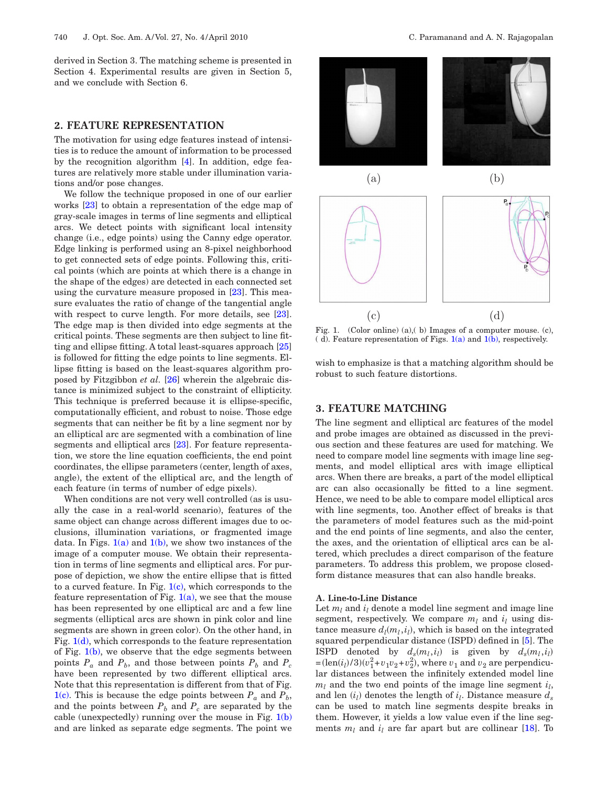derived in Section 3. The matching scheme is presented in Section 4. Experimental results are given in Section 5, and we conclude with Section 6.

# **2. FEATURE REPRESENTATION**

The motivation for using edge features instead of intensities is to reduce the amount of information to be processed by the recognition algorithm [\[4\]](#page-8-3). In addition, edge features are relatively more stable under illumination variations and/or pose changes.

We follow the technique proposed in one of our earlier works [\[23\]](#page-9-13) to obtain a representation of the edge map of gray-scale images in terms of line segments and elliptical arcs. We detect points with significant local intensity change (i.e., edge points) using the Canny edge operator. Edge linking is performed using an 8-pixel neighborhood to get connected sets of edge points. Following this, critical points (which are points at which there is a change in the shape of the edges) are detected in each connected set using the curvature measure proposed in [\[23\]](#page-9-13). This measure evaluates the ratio of change of the tangential angle with respect to curve length. For more details, see [\[23\]](#page-9-13). The edge map is then divided into edge segments at the critical points. These segments are then subject to line fitting and ellipse fitting. A total least-squares approach [\[25\]](#page-9-15) is followed for fitting the edge points to line segments. Ellipse fitting is based on the least-squares algorithm proposed by Fitzgibbon *et al.* [\[26\]](#page-9-16) wherein the algebraic distance is minimized subject to the constraint of ellipticity. This technique is preferred because it is ellipse-specific, computationally efficient, and robust to noise. Those edge segments that can neither be fit by a line segment nor by an elliptical arc are segmented with a combination of line segments and elliptical arcs [\[23\]](#page-9-13). For feature representation, we store the line equation coefficients, the end point coordinates, the ellipse parameters (center, length of axes, angle), the extent of the elliptical arc, and the length of each feature (in terms of number of edge pixels).

When conditions are not very well controlled (as is usually the case in a real-world scenario), features of the same object can change across different images due to occlusions, illumination variations, or fragmented image data. In Figs.  $1(a)$  and  $1(b)$ , we show two instances of the image of a computer mouse. We obtain their representation in terms of line segments and elliptical arcs. For purpose of depiction, we show the entire ellipse that is fitted to a curved feature. In Fig.  $1(c)$ , which corresponds to the feature representation of Fig.  $1(a)$ , we see that the mouse has been represented by one elliptical arc and a few line segments (elliptical arcs are shown in pink color and line segments are shown in green color). On the other hand, in Fig.  $1(d)$ , which corresponds to the feature representation of Fig.  $1(b)$ , we observe that the edge segments between points  $P_a$  and  $P_b$ , and those between points  $P_b$  and  $P_c$ have been represented by two different elliptical arcs. Note that this representation is different from that of Fig. [1\(c\).](#page-1-0) This is because the edge points between  $P_a$  and  $P_b$ , and the points between  $P_b$  and  $P_c$  are separated by the cable (unexpectedly) running over the mouse in Fig.  $1(b)$ and are linked as separate edge segments. The point we

<span id="page-1-0"></span>

Fig. 1. (Color online) (a),( b) Images of a computer mouse. (c), ( d). Feature representation of Figs.  $1(a)$  and  $1(b)$ , respectively.

wish to emphasize is that a matching algorithm should be robust to such feature distortions.

# **3. FEATURE MATCHING**

The line segment and elliptical arc features of the model and probe images are obtained as discussed in the previous section and these features are used for matching. We need to compare model line segments with image line segments, and model elliptical arcs with image elliptical arcs. When there are breaks, a part of the model elliptical arc can also occasionally be fitted to a line segment. Hence, we need to be able to compare model elliptical arcs with line segments, too. Another effect of breaks is that the parameters of model features such as the mid-point and the end points of line segments, and also the center, the axes, and the orientation of elliptical arcs can be altered, which precludes a direct comparison of the feature parameters. To address this problem, we propose closedform distance measures that can also handle breaks.

#### **A. Line-to-Line Distance**

Let  $m_l$  and  $i_l$  denote a model line segment and image line segment, respectively. We compare  $m_l$  and  $i_l$  using distance measure  $d_l(m_l, i_l)$ , which is based on the integrated squared perpendicular distance (ISPD) defined in [\[5\]](#page-8-4). The ISPD denoted by  $d_s(m_l, i_l)$  is given by  $d_s(m_l, i_l)$  $=$   $(\text{len}(i_l)/3)(v_1^2 + v_1v_2 + v_2^2)$ , where  $v_1$  and  $v_2$  are perpendicular distances between the infinitely extended model line  $m_l$  and the two end points of the image line segment  $i_l$ , and len  $(i_l)$  denotes the length of  $i_l$ . Distance measure  $d_s$ can be used to match line segments despite breaks in them. However, it yields a low value even if the line segments  $m_l$  and  $i_l$  are far apart but are collinear [\[18\]](#page-9-17). To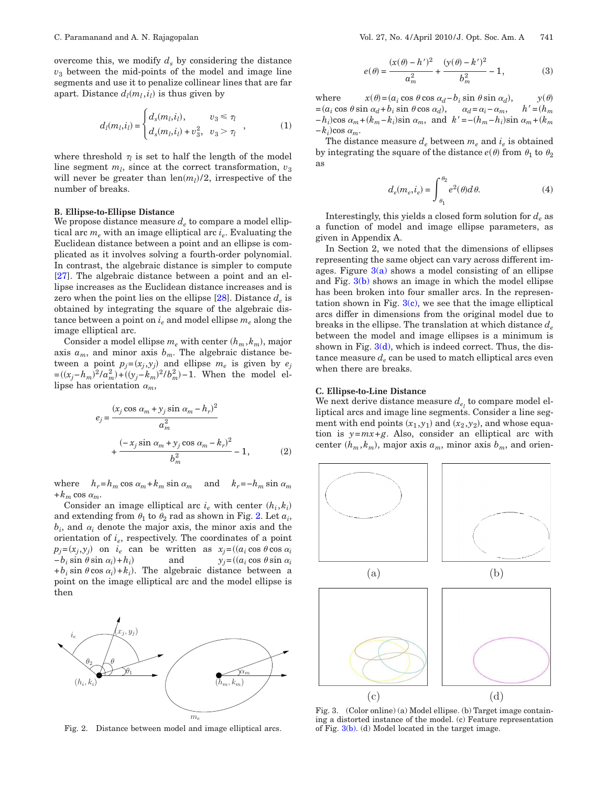overcome this, we modify  $d_s$  by considering the distance  $v<sub>3</sub>$  between the mid-points of the model and image line segments and use it to penalize collinear lines that are far apart. Distance  $d_l(m_l, i_l)$  is thus given by

$$
d_{l}(m_{l}, i_{l}) = \begin{cases} d_{s}(m_{l}, i_{l}), & v_{3} \leq \tau_{l} \\ d_{s}(m_{l}, i_{l}) + v_{3}^{2}, & v_{3} > \tau_{l} \end{cases}, \qquad (1)
$$

where threshold  $\tau_l$  is set to half the length of the model line segment  $m_l$ , since at the correct transformation,  $v_3$ will never be greater than  $len(m_l)/2$ , irrespective of the number of breaks.

#### **B. Ellipse-to-Ellipse Distance**

We propose distance measure  $d_e$  to compare a model elliptical arc *me* with an image elliptical arc *ie*. Evaluating the Euclidean distance between a point and an ellipse is complicated as it involves solving a fourth-order polynomial. In contrast, the algebraic distance is simpler to compute [\[27\]](#page-9-18). The algebraic distance between a point and an ellipse increases as the Euclidean distance increases and is zero when the point lies on the ellipse  $[28]$ . Distance  $d_e$  is obtained by integrating the square of the algebraic distance between a point on  $i_e$  and model ellipse  $m_e$  along the image elliptical arc.

Consider a model ellipse  $m_e$  with center  $(h_m, k_m)$ , major axis  $a_m$ , and minor axis  $b_m$ . The algebraic distance between a point  $p_j = (x_j, y_j)$  and ellipse  $m_e$  is given by  $e_j$  $=(x_j - h_m)^2/a_m^2$  +  $((y_j - k_m)^2/b_m^2)$  - 1. When the model ellipse has orientation  $\alpha_m$ ,

<span id="page-2-2"></span>
$$
e_j = \frac{(x_j \cos \alpha_m + y_j \sin \alpha_m - h_r)^2}{a_m^2}
$$

$$
+ \frac{(-x_j \sin \alpha_m + y_j \cos \alpha_m - h_r)^2}{b_m^2} - 1, \qquad (2)
$$

where  $h_r=h_m \cos \alpha_m + k_m \sin \alpha_m$  and  $k_r=-h_m \sin \alpha_m$  $+k_m \cos \alpha_m$ .

Consider an image elliptical arc  $i_e$  with center  $(h_i, k_i)$ and extending from  $\theta_1$  to  $\theta_2$  rad as shown in Fig. [2.](#page-2-0) Let  $a_i$ ,  $b_i$ , and  $a_i$  denote the major axis, the minor axis and the orientation of *ie*, respectively. The coordinates of a point  $p_j = (x_j, y_j)$  on  $i_e$  can be written as  $x_j = ((a_i \cos \theta \cos \alpha_i))$  $-b_i$  sin  $\theta$  sin  $\alpha_i$ ) +  $h_i$ ) and  $y_j = ((a_i \cos \theta \sin \alpha_i))$  $+b_i \sin \theta \cos \alpha_i + b_i$ . The algebraic distance between a point on the image elliptical arc and the model ellipse is then

<span id="page-2-0"></span>

Fig. 2. Distance between model and image elliptical arcs.

$$
e(\theta) = \frac{(x(\theta) - h')^2}{a_m^2} + \frac{(y(\theta) - k')^2}{b_m^2} - 1,\tag{3}
$$

where *x* $x(\theta) = (a_i \cos \theta \cos \alpha_d - b_i \sin \theta \sin \alpha_d),$  $y(\theta)$  $a_i = (a_i \cos \theta \sin \alpha_d + b_i \sin \theta \cos \alpha_d), \quad a_d = a_i - a_m, \quad h' = (h_m)$  $-h_i$ )cos  $\alpha_m + (k_m - k_i)$ sin  $\alpha_m$ , and  $k' = -(h_m - h_i)$ sin  $\alpha_m + (k_m - k_i)$  $-k_i$ )cos  $\alpha_m$ .

<span id="page-2-3"></span>The distance measure  $d_e$  between  $m_e$  and  $i_e$  is obtained by integrating the square of the distance  $e(\theta)$  from  $\theta_1$  to  $\theta_2$ as

$$
d_e(m_e, i_e) = \int_{\theta_1}^{\theta_2} e^2(\theta) d\theta.
$$
 (4)

Interestingly, this yields a closed form solution for  $d_e$  as a function of model and image ellipse parameters, as given in Appendix A.

In Section 2, we noted that the dimensions of ellipses representing the same object can vary across different images. Figure  $3(a)$  shows a model consisting of an ellipse and Fig. [3\(b\)](#page-2-1) shows an image in which the model ellipse has been broken into four smaller arcs. In the representation shown in Fig.  $3(c)$ , we see that the image elliptical arcs differ in dimensions from the original model due to breaks in the ellipse. The translation at which distance  $d_e$ between the model and image ellipses is a minimum is shown in Fig.  $3(d)$ , which is indeed correct. Thus, the distance measure  $d_e$  can be used to match elliptical arcs even when there are breaks.

#### **C. Ellipse-to-Line Distance**

We next derive distance measure  $d_{e_i}$  to compare model elliptical arcs and image line segments. Consider a line segment with end points  $(x_1, y_1)$  and  $(x_2, y_2)$ , and whose equation is *y*=*mx*+*g*. Also, consider an elliptical arc with center  $(h_m, k_m)$ , major axis  $a_m$ , minor axis  $b_m$ , and orien-

<span id="page-2-1"></span>

Fig. 3. (Color online) (a) Model ellipse. (b) Target image containing a distorted instance of the model. (c) Feature representation of Fig. [3\(b\).](#page-2-1) (d) Model located in the target image.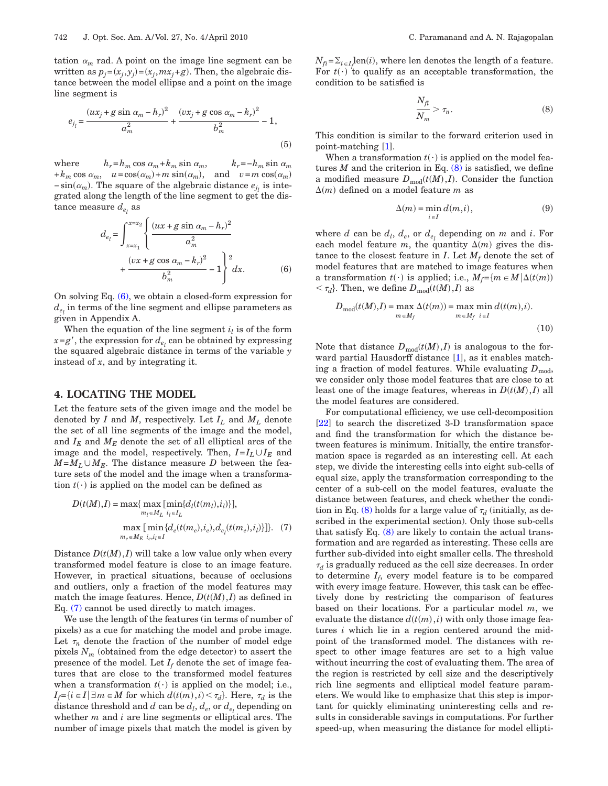tation  $\alpha_m$  rad. A point on the image line segment can be written as  $p_j = (x_j, y_j) = (x_j, mx_j + g)$ . Then, the algebraic distance between the model ellipse and a point on the image line segment is

$$
e_{j_l} = \frac{(ux_j + g\sin\alpha_m - h_r)^2}{a_m^2} + \frac{(vx_j + g\cos\alpha_m - k_r)^2}{b_m^2} - 1,
$$
\n(5)

where  $h_r = h_m \cos \alpha_m + k_m \sin \alpha_m, \qquad k_r = -h_m \sin \alpha_m$  $+k_m \cos \alpha_m$ ,  $u = \cos(\alpha_m) + m \sin(\alpha_m)$ , and  $v = m \cos(\alpha_m)$  $-\sin(\alpha_m)$ . The square of the algebraic distance  $e_{j_l}$  is integrated along the length of the line segment to get the distance measure  $d_{e_i}$  as

<span id="page-3-0"></span>
$$
d_{e_l} = \int_{x=x_1}^{x=x_2} \left\{ \frac{(ux+g\sin\alpha_m - h_r)^2}{a_m^2} + \frac{(vx+g\cos\alpha_m - h_r)^2}{b_m^2} - 1 \right\}^2 dx.
$$
 (6)

On solving Eq. [\(6\),](#page-3-0) we obtain a closed-form expression for  $d_e$  in terms of the line segment and ellipse parameters as given in Appendix A.

When the equation of the line segment  $i_l$  is of the form  $x = g'$ , the expression for  $d_{e_i}$  can be obtained by expressing the squared algebraic distance in terms of the variable *y* instead of *x*, and by integrating it.

#### **4. LOCATING THE MODEL**

Let the feature sets of the given image and the model be denoted by *I* and *M*, respectively. Let *IL* and *ML* denote the set of all line segments of the image and the model, and  $I_E$  and  $M_E$  denote the set of all elliptical arcs of the image and the model, respectively. Then,  $I = I_L \cup I_F$  and  $M=M_L \cup M_E$ . The distance measure *D* between the feature sets of the model and the image when a transformation  $t(\cdot)$  is applied on the model can be defined as

<span id="page-3-1"></span>
$$
D(t(M), I) = \max\{ \max_{m_l \in M_L} [\min_{i_l \in I_L} \{d_l(t(m_l), i_l)\}],
$$

$$
\max_{m_e \in M_E} [\min_{i_e, i_l \in I} \{d_e(t(m_e), i_e), d_{e_l}(t(m_e), i_l)\}]\}. (7)
$$

Distance  $D(t(M), I)$  will take a low value only when every transformed model feature is close to an image feature. However, in practical situations, because of occlusions and outliers, only a fraction of the model features may match the image features. Hence,  $D(t(M), I)$  as defined in Eq. [\(7\)](#page-3-1) cannot be used directly to match images.

We use the length of the features (in terms of number of pixels) as a cue for matching the model and probe image. Let  $\tau_n$  denote the fraction of the number of model edge pixels  $N_m$  (obtained from the edge detector) to assert the presence of the model. Let  $I_f$  denote the set of image features that are close to the transformed model features when a transformation  $t(\cdot)$  is applied on the model; i.e.,  $I_f = \{i \in I | \exists m \in M \text{ for which } d(t(m), i) \leq \tau_d\}$ . Here,  $\tau_d$  is the distance threshold and *d* can be  $d_l, d_e$ , or  $d_e$ , depending on whether *m* and *i* are line segments or elliptical arcs. The number of image pixels that match the model is given by

<span id="page-3-2"></span> $N_{fi} = \sum_{i \in I_f} len(i)$ , where len denotes the length of a feature. For  $t(\cdot)$  to qualify as an acceptable transformation, the condition to be satisfied is

$$
\frac{N_{fi}}{N_m} > \tau_n.
$$
\n(8)

This condition is similar to the forward criterion used in point-matching [\[1\]](#page-8-0).

When a transformation  $t(\cdot)$  is applied on the model features  $M$  and the criterion in Eq.  $(8)$  is satisfied, we define a modified measure  $D_{\text{mod}}(t(M), I)$ . Consider the function  $\Delta(m)$  defined on a model feature *m* as

$$
\Delta(m) = \min_{i \in I} d(m, i),\tag{9}
$$

where *d* can be  $d_l$ ,  $d_e$ , or  $d_{e_l}$  depending on *m* and *i*. For each model feature *m*, the quantity  $\Delta(m)$  gives the distance to the closest feature in *I*. Let  $M_f$  denote the set of model features that are matched to image features when a transformation  $t(\cdot)$  is applied; i.e.,  $M_f = \{m \in M | \Delta(t(m))\}$  $< \tau_d$ . Then, we define  $D_{mod}(t(M), I)$  as

$$
D_{\text{mod}}(t(M),I) = \max_{m \in M_f} \Delta(t(m)) = \max_{m \in M_f} \min_{i \in I} d(t(m),i).
$$
\n(10)

Note that distance  $D_{\text{mod}}(t(M), I)$  is analogous to the for-ward partial Hausdorff distance [\[1\]](#page-8-0), as it enables matching a fraction of model features. While evaluating  $D_{mod}$ , we consider only those model features that are close to at least one of the image features, whereas in  $D(t(M), I)$  all the model features are considered.

For computational efficiency, we use cell-decomposition [\[22\]](#page-9-12) to search the discretized 3-D transformation space and find the transformation for which the distance between features is minimum. Initially, the entire transformation space is regarded as an interesting cell. At each step, we divide the interesting cells into eight sub-cells of equal size, apply the transformation corresponding to the center of a sub-cell on the model features, evaluate the distance between features, and check whether the condi-tion in Eq. [\(8\)](#page-3-2) holds for a large value of  $\tau_d$  (initially, as described in the experimental section). Only those sub-cells that satisfy Eq.  $(8)$  are likely to contain the actual transformation and are regarded as interesting. These cells are further sub-divided into eight smaller cells. The threshold  $\tau_d$  is gradually reduced as the cell size decreases. In order to determine  $I_f$ , every model feature is to be compared with every image feature. However, this task can be effectively done by restricting the comparison of features based on their locations. For a particular model *m*, we evaluate the distance  $d(t(m), i)$  with only those image features *i* which lie in a region centered around the midpoint of the transformed model. The distances with respect to other image features are set to a high value without incurring the cost of evaluating them. The area of the region is restricted by cell size and the descriptively rich line segments and elliptical model feature parameters. We would like to emphasize that this step is important for quickly eliminating uninteresting cells and results in considerable savings in computations. For further speed-up, when measuring the distance for model ellipti-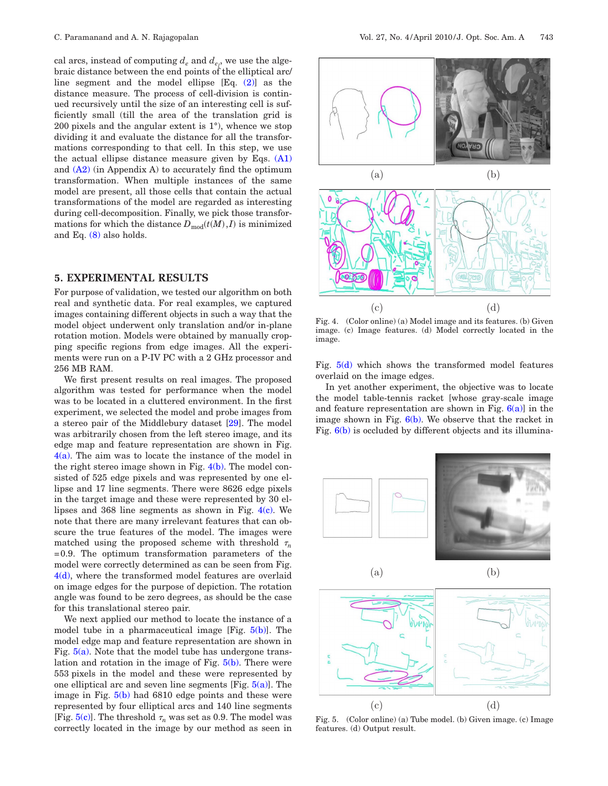cal arcs, instead of computing  $d_e$  and  $d_{e_l}$ , we use the algebraic distance between the end points of the elliptical arc/ line segment and the model ellipse [Eq. [\(2\)\]](#page-2-2) as the distance measure. The process of cell-division is continued recursively until the size of an interesting cell is sufficiently small (till the area of the translation grid is 200 pixels and the angular extent is 1°), whence we stop dividing it and evaluate the distance for all the transformations corresponding to that cell. In this step, we use the actual ellipse distance measure given by Eqs.  $(A1)$ and  $(A2)$  (in Appendix A) to accurately find the optimum transformation. When multiple instances of the same model are present, all those cells that contain the actual transformations of the model are regarded as interesting during cell-decomposition. Finally, we pick those transformations for which the distance  $D_{\text{mod}}(t(M), I)$  is minimized and Eq. [\(8\)](#page-3-2) also holds.

# **5. EXPERIMENTAL RESULTS**

For purpose of validation, we tested our algorithm on both real and synthetic data. For real examples, we captured images containing different objects in such a way that the model object underwent only translation and/or in-plane rotation motion. Models were obtained by manually cropping specific regions from edge images. All the experiments were run on a P-IV PC with a 2 GHz processor and 256 MB RAM.

We first present results on real images. The proposed algorithm was tested for performance when the model was to be located in a cluttered environment. In the first experiment, we selected the model and probe images from a stereo pair of the Middlebury dataset [\[29\]](#page-9-20). The model was arbitrarily chosen from the left stereo image, and its edge map and feature representation are shown in Fig.  $4(a)$ . The aim was to locate the instance of the model in the right stereo image shown in Fig.  $4(b)$ . The model consisted of 525 edge pixels and was represented by one ellipse and 17 line segments. There were 8626 edge pixels in the target image and these were represented by 30 ellipses and 368 line segments as shown in Fig.  $4(c)$ . We note that there are many irrelevant features that can obscure the true features of the model. The images were matched using the proposed scheme with threshold  $\tau_n$ =0.9. The optimum transformation parameters of the model were correctly determined as can be seen from Fig. [4\(d\),](#page-4-0) where the transformed model features are overlaid on image edges for the purpose of depiction. The rotation angle was found to be zero degrees, as should be the case for this translational stereo pair.

We next applied our method to locate the instance of a model tube in a pharmaceutical image  $[Fig, 5(b)]$  $[Fig, 5(b)]$ . The model edge map and feature representation are shown in Fig.  $5(a)$ . Note that the model tube has undergone translation and rotation in the image of Fig.  $5(b)$ . There were 553 pixels in the model and these were represented by one elliptical arc and seven line segments  $[Fig, 5(a)]$  $[Fig, 5(a)]$ . The image in Fig. [5\(b\)](#page-4-1) had 6810 edge points and these were represented by four elliptical arcs and 140 line segments [Fig.  $5(c)$ ]. The threshold  $\tau_n$  was set as 0.9. The model was correctly located in the image by our method as seen in

<span id="page-4-0"></span>

Fig. 4. (Color online) (a) Model image and its features. (b) Given image. (c) Image features. (d) Model correctly located in the image.

Fig.  $5(d)$  which shows the transformed model features overlaid on the image edges.

In yet another experiment, the objective was to locate the model table-tennis racket [whose gray-scale image and feature representation are shown in Fig.  $6(a)$ ] in the image shown in Fig.  $6(b)$ . We observe that the racket in Fig. [6\(b\)](#page-5-0) is occluded by different objects and its illumina-

<span id="page-4-1"></span>

Fig. 5. (Color online) (a) Tube model. (b) Given image. (c) Image features. (d) Output result.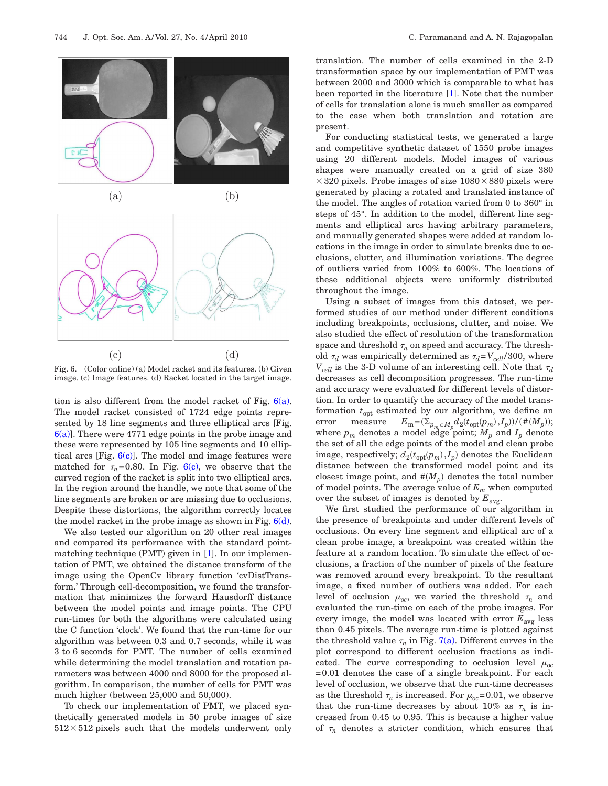<span id="page-5-0"></span>



Fig. 6. (Color online) (a) Model racket and its features. (b) Given image. (c) Image features. (d) Racket located in the target image.

tion is also different from the model racket of Fig.  $6(a)$ . The model racket consisted of 1724 edge points represented by 18 line segments and three elliptical arcs [Fig.  $6(a)$ . There were 4771 edge points in the probe image and these were represented by 105 line segments and 10 elliptical arcs [Fig.  $6(c)$ ]. The model and image features were matched for  $\tau_n = 0.80$ . In Fig. [6\(c\),](#page-5-0) we observe that the curved region of the racket is split into two elliptical arcs. In the region around the handle, we note that some of the line segments are broken or are missing due to occlusions. Despite these distortions, the algorithm correctly locates the model racket in the probe image as shown in Fig.  $6(d)$ .

We also tested our algorithm on 20 other real images and compared its performance with the standard pointmatching technique (PMT) given in [\[1\]](#page-8-0). In our implementation of PMT, we obtained the distance transform of the image using the OpenCv library function 'cvDistTransform.' Through cell-decomposition, we found the transformation that minimizes the forward Hausdorff distance between the model points and image points. The CPU run-times for both the algorithms were calculated using the C function 'clock'. We found that the run-time for our algorithm was between 0.3 and 0.7 seconds, while it was 3 to 6 seconds for PMT. The number of cells examined while determining the model translation and rotation parameters was between 4000 and 8000 for the proposed algorithm. In comparison, the number of cells for PMT was much higher (between 25,000 and 50,000).

To check our implementation of PMT, we placed synthetically generated models in 50 probe images of size  $512\times512$  pixels such that the models underwent only translation. The number of cells examined in the 2-D transformation space by our implementation of PMT was between 2000 and 3000 which is comparable to what has been reported in the literature [\[1\]](#page-8-0). Note that the number of cells for translation alone is much smaller as compared to the case when both translation and rotation are present.

For conducting statistical tests, we generated a large and competitive synthetic dataset of 1550 probe images using 20 different models. Model images of various shapes were manually created on a grid of size 380  $\times$ 320 pixels. Probe images of size  $1080\times880$  pixels were generated by placing a rotated and translated instance of the model. The angles of rotation varied from 0 to 360° in steps of 45°. In addition to the model, different line segments and elliptical arcs having arbitrary parameters, and manually generated shapes were added at random locations in the image in order to simulate breaks due to occlusions, clutter, and illumination variations. The degree of outliers varied from 100% to 600%. The locations of these additional objects were uniformly distributed throughout the image.

Using a subset of images from this dataset, we performed studies of our method under different conditions including breakpoints, occlusions, clutter, and noise. We also studied the effect of resolution of the transformation space and threshold  $\tau_n$  on speed and accuracy. The threshold  $\tau_d$  was empirically determined as  $\tau_d = V_{cell}/300$ , where  $V_{cell}$  is the 3-D volume of an interesting cell. Note that  $\tau_d$ decreases as cell decomposition progresses. The run-time and accuracy were evaluated for different levels of distortion. In order to quantify the accuracy of the model transformation  $t_{opt}$  estimated by our algorithm, we define an error measure  $E_m = (\sum_{p_m \in M_p} d_2(t_{\text{opt}}(p_m), I_p)) / (\#(M_p));$ where  $p_m$  denotes a model edge point;  $M_p$  and  $I_p$  denote the set of all the edge points of the model and clean probe image, respectively;  $d_2(t_{\text{opt}}(p_m), I_p)$  denotes the Euclidean distance between the transformed model point and its closest image point, and  $#(M_p)$  denotes the total number of model points. The average value of *Em* when computed over the subset of images is denoted by  $E_{\text{avg}}$ .

We first studied the performance of our algorithm in the presence of breakpoints and under different levels of occlusions. On every line segment and elliptical arc of a clean probe image, a breakpoint was created within the feature at a random location. To simulate the effect of occlusions, a fraction of the number of pixels of the feature was removed around every breakpoint. To the resultant image, a fixed number of outliers was added. For each level of occlusion  $\mu_{oc}$ , we varied the threshold  $\tau_n$  and evaluated the run-time on each of the probe images. For every image, the model was located with error  $E_{\text{avg}}$  less than 0.45 pixels. The average run-time is plotted against the threshold value  $\tau_n$  in Fig. [7\(a\).](#page-6-0) Different curves in the plot correspond to different occlusion fractions as indicated. The curve corresponding to occlusion level  $\mu_{oc}$ =0.01 denotes the case of a single breakpoint. For each level of occlusion, we observe that the run-time decreases as the threshold  $\tau_n$  is increased. For  $\mu_{oc}$ =0.01, we observe that the run-time decreases by about 10% as  $\tau_n$  is increased from 0.45 to 0.95. This is because a higher value of  $\tau_n$  denotes a stricter condition, which ensures that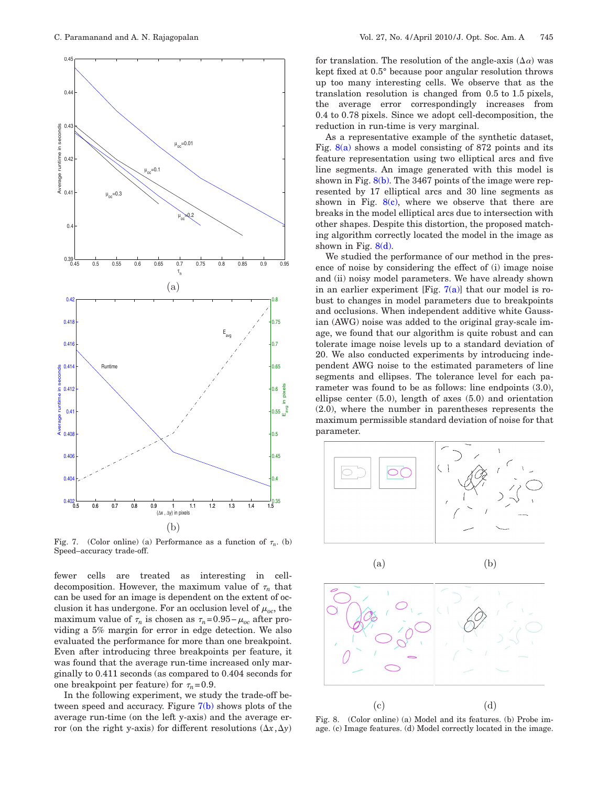<span id="page-6-0"></span>

Fig. 7. (Color online) (a) Performance as a function of  $\tau_n$ . (b) Speed–accuracy trade-off.

fewer cells are treated as interesting in celldecomposition. However, the maximum value of  $\tau_n$  that can be used for an image is dependent on the extent of occlusion it has undergone. For an occlusion level of  $\mu_{oc}$ , the maximum value of  $\tau_n$  is chosen as  $\tau_n$ =0.95− $\mu_{oc}$  after providing a 5% margin for error in edge detection. We also evaluated the performance for more than one breakpoint. Even after introducing three breakpoints per feature, it was found that the average run-time increased only marginally to 0.411 seconds (as compared to 0.404 seconds for one breakpoint per feature) for  $\tau_n = 0.9$ .

In the following experiment, we study the trade-off between speed and accuracy. Figure  $7(b)$  shows plots of the average run-time (on the left y-axis) and the average error (on the right y-axis) for different resolutions  $(\Delta x, \Delta y)$ 

for translation. The resolution of the angle-axis  $(\Delta \alpha)$  was kept fixed at 0.5° because poor angular resolution throws up too many interesting cells. We observe that as the translation resolution is changed from 0.5 to 1.5 pixels, the average error correspondingly increases from 0.4 to 0.78 pixels. Since we adopt cell-decomposition, the reduction in run-time is very marginal.

As a representative example of the synthetic dataset, Fig.  $8(a)$  shows a model consisting of 872 points and its feature representation using two elliptical arcs and five line segments. An image generated with this model is shown in Fig.  $8(b)$ . The 3467 points of the image were represented by 17 elliptical arcs and 30 line segments as shown in Fig.  $8(c)$ , where we observe that there are breaks in the model elliptical arcs due to intersection with other shapes. Despite this distortion, the proposed matching algorithm correctly located the model in the image as shown in Fig.  $8(d)$ .

We studied the performance of our method in the presence of noise by considering the effect of (i) image noise and (ii) noisy model parameters. We have already shown in an earlier experiment [Fig.  $7(a)$ ] that our model is robust to changes in model parameters due to breakpoints and occlusions. When independent additive white Gaussian (AWG) noise was added to the original gray-scale image, we found that our algorithm is quite robust and can tolerate image noise levels up to a standard deviation of 20. We also conducted experiments by introducing independent AWG noise to the estimated parameters of line segments and ellipses. The tolerance level for each parameter was found to be as follows: line endpoints (3.0), ellipse center (5.0), length of axes (5.0) and orientation (2.0), where the number in parentheses represents the maximum permissible standard deviation of noise for that parameter.

<span id="page-6-1"></span>







Fig. 8. (Color online) (a) Model and its features. (b) Probe image. (c) Image features. (d) Model correctly located in the image.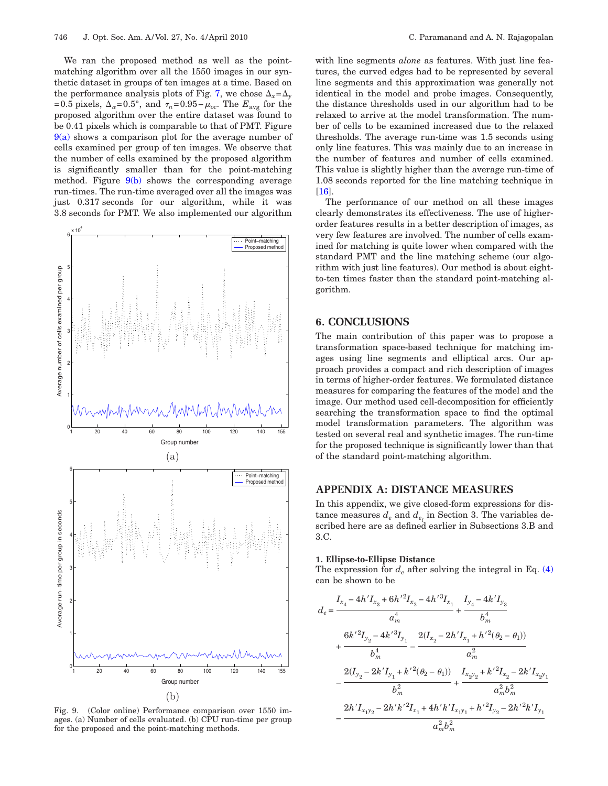We ran the proposed method as well as the pointmatching algorithm over all the 1550 images in our synthetic dataset in groups of ten images at a time. Based on the performance analysis plots of Fig. [7,](#page-6-0) we chose  $\Delta_x = \Delta_y$ =0.5 pixels,  $\Delta_{\alpha}$ =0.5°, and  $\tau_n$ =0.95– $\mu_{oc}$ . The  $E_{avg}$  for the proposed algorithm over the entire dataset was found to be 0.41 pixels which is comparable to that of PMT. Figure  $9(a)$  shows a comparison plot for the average number of cells examined per group of ten images. We observe that the number of cells examined by the proposed algorithm is significantly smaller than for the point-matching method. Figure  $9(b)$  shows the corresponding average run-times. The run-time averaged over all the images was just 0.317 seconds for our algorithm, while it was 3.8 seconds for PMT. We also implemented our algorithm

<span id="page-7-1"></span>

Fig. 9. (Color online) Performance comparison over 1550 images. (a) Number of cells evaluated. (b) CPU run-time per group for the proposed and the point-matching methods.

with line segments *alone* as features. With just line features, the curved edges had to be represented by several line segments and this approximation was generally not identical in the model and probe images. Consequently, the distance thresholds used in our algorithm had to be relaxed to arrive at the model transformation. The number of cells to be examined increased due to the relaxed thresholds. The average run-time was 1.5 seconds using only line features. This was mainly due to an increase in the number of features and number of cells examined. This value is slightly higher than the average run-time of 1.08 seconds reported for the line matching technique in [\[16\]](#page-9-9).

The performance of our method on all these images clearly demonstrates its effectiveness. The use of higherorder features results in a better description of images, as very few features are involved. The number of cells examined for matching is quite lower when compared with the standard PMT and the line matching scheme (our algorithm with just line features). Our method is about eightto-ten times faster than the standard point-matching algorithm.

## **6. CONCLUSIONS**

The main contribution of this paper was to propose a transformation space-based technique for matching images using line segments and elliptical arcs. Our approach provides a compact and rich description of images in terms of higher-order features. We formulated distance measures for comparing the features of the model and the image. Our method used cell-decomposition for efficiently searching the transformation space to find the optimal model transformation parameters. The algorithm was tested on several real and synthetic images. The run-time for the proposed technique is significantly lower than that of the standard point-matching algorithm.

## **APPENDIX A: DISTANCE MEASURES**

In this appendix, we give closed-form expressions for distance measures  $d_e$  and  $d_{e_i}$  in Section 3. The variables described here are as defined earlier in Subsections 3.B and 3.C.

#### **1. Ellipse-to-Ellipse Distance**

The expression for  $d_e$  after solving the integral in Eq. [\(4\)](#page-2-3) can be shown to be

<span id="page-7-0"></span>
$$
d_e = \frac{I_{x_4} - 4h'I_{x_3} + 6h'^2I_{x_2} - 4h'^3I_{x_1}}{a_m^4} + \frac{I_{y_4} - 4k'I_{y_3}}{b_m^4} + \frac{6k'^2I_{y_2} - 4k'^3I_{y_1}}{b_m^4} + \frac{6k'^2I_{y_2} - 4k'^3I_{y_1}}{b_m^4} - \frac{2(I_{x_2} - 2h'I_{x_1} + h'^2(\theta_2 - \theta_1))}{a_m^2} - \frac{2(I_{y_2} - 2k'I_{y_1} + k'^2(\theta_2 - \theta_1))}{b_m^2} + \frac{I_{x_2y_2} + k'^2I_{x_2} - 2k'I_{x_2y_1}}{a_m^2b_m^2} - \frac{2h'I_{x_1y_2} - 2h'k'^2I_{x_1} + 4h'k'I_{x_1y_1} + h'^2I_{y_2} - 2h'^2k'I_{y_1}}{a_m^2b_m^2}
$$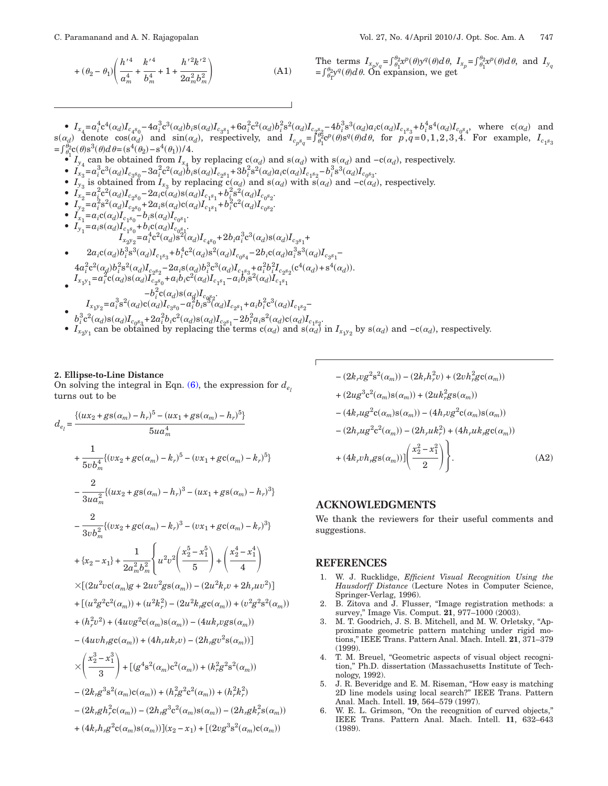$$
+ (\theta_2 - \theta_1) \left( \frac{h^{\prime 4}}{a_m^4} + \frac{k^{\prime 4}}{b_m^4} + 1 + \frac{h^{\prime 2} k^{\prime 2}}{2 a_m^2 b_m^2} \right)
$$
 (A1)

The terms 
$$
I_{x_p y_q} = \int_{\theta_1}^{\theta_2} x^p(\theta) y^q(\theta) d\theta
$$
,  $I_{x_p} = \int_{\theta_1}^{\theta_2} x^p(\theta) d\theta$ , and  $I_{y_q} = \int_{\theta_1}^{\theta_2} y^q(\theta) d\theta$ . On expansion, we get

•  $I_{x_4} = a_i^4 c^4(\alpha_d) I_{c_4s_0} - 4a_i^3 c^3(\alpha_d) b_i s(\alpha_d) I_{c_3s_1} + 6a_i^2 c^2(\alpha_d) b_i^2 s^2(\alpha_d) I_{c_2s_2} - 4b_i^3 s^3(\alpha_d) a_i c(\alpha_d) I_{c_1s_3} + b_i^4 s^4(\alpha_d) I_{c_0s_4}$ , where  $c(\alpha_d)$  and  $s(\alpha_d)$  denote  $\cos(\alpha_d)$  and  $\sin(\alpha_d)$ , respectively, and  $I_{c_p s_q} = \int_{\theta_1}^{\theta_2} c^p(\theta) s^q(\theta) d\theta$ , for  $p, q = 0, 1, 2, 3, 4$ . For example,  $I_{c_1 s_3}$  $=\int_{\theta_1}^{\theta_2} c(\theta) s^3(\theta) d\theta = (s^4(\theta_2) - s^4(\theta_1))/4.$ 

- *I<sub>y<sub>4</sub>*</sub> can be obtained from  $I_{x_4}$  by replacing  $c(\alpha_d)$  and  $s(\alpha_d)$  with  $s(\alpha_d)$  and  $-c(\alpha_d)$ , respectively.
- $I_{x_3}^4 = a_i^3 c^3(\alpha_d) I_{c_3 s_0} 3 a_i^2 c^2(\alpha_d) b_i s(\alpha_d) I_{c_2 s_1} + 3 b_i^2 s^2(\alpha_d) a_i c(\alpha_d) I_{c_1 s_2} b_i^3 s^3(\alpha_d) I_{c_0 s_3}$
- $I_{y_3}$  is obtained from  $I_{x_3}$  by replacing  $\tilde{c}(\alpha_d)$  and  $s(\alpha_d)$  with  $\tilde{s}(\alpha_d)$  and  $-c(\alpha_d)$ , respectively.
- $I_{x_2} = a_i^2 c^2(\alpha_d) I_{c_2s_0} 2a_i c(\alpha_d) s(\alpha_d) I_{c_1s_1} + b_i^2 s^2(\alpha_d) I_{c_0s_2}$
- $I_{y_2}^2 = a_i^2 s^2(\alpha_d) I_{c_2 s_0}^2 + 2a_i s(\alpha_d) c(\alpha_d) I_{c_1 s_1}^1 + b_i^2 c^2(\alpha_d) I_{c_0 s_2}^0$ .

• 
$$
I_{x_1} = a_i c(\alpha_d) I_{c_1 s_0} - b_i s(\alpha_d) I_{c_0 s_1}
$$
.

• 
$$
I_{y_1} = a_i s(\alpha_d) I_{c_1 s_0} + b_i c(\alpha_d) I_{c_0 s_1}.
$$
  
\n $I_{x_2 y_2} = a_i^4 c^2(\alpha_d) s^2(\alpha_d) I_{c_4 s_0} + 2b_i a_i^3 c^3(\alpha_d) s(\alpha_d) I_{c_3 s_1} +$ 

• 
$$
2a_i c(\alpha_d) b_i^3 s^3(\alpha_d) I_{c_1 s_3} + b_i^4 c^2(\alpha_d) s^2(\alpha_d) I_{c_0 s_4} - 2b_i c(\alpha_d) a_i^3 s^3(\alpha_d) I_{c_3 s_1} -
$$

$$
4a_i^2c^2(\alpha_d)b_i^2s^2(\alpha_d)L_{c_2s_2}-2a_i s(\alpha_d)b_i^3c^3(\alpha_d)L_{c_1s_3}+a_i^2b_i^2L_{c_2s_2}(c^4(\alpha_d)+s^4(\alpha_d))
$$
  
\n
$$
L_{x_1y_1}=a_i^2c(\alpha_d)s(\alpha_d)L_{c_2s_0}+a_ib_ic^2(\alpha_d)L_{c_1s_1}-a_ib_i s^2(\alpha_d)L_{c_1s_1}
$$

- $-b_i^2 c(\alpha_d) s(\alpha_d) I_{c_0 s_2}.$  $\bullet$   $I_{x_1y_2}$  $= a_i^3 s^2(\alpha_d) c(\alpha_d) I_{c_3 s_0} - a_i^2 b_i s^3(\alpha_d) I_{c_2 s_1} + a_i b_i^2 c^3(\alpha_d) I_{c_1 s_2}$
- $b_i^3c^2(\alpha_d)s(\alpha_d)I_{c_0s_3} + 2a_i^2b_i c^2(\alpha_d)s(\alpha_d)I_{c_2s_1} 2b_i^2a_i s^2(\alpha_d)c(\alpha_d)I_{c_1s_2}$
- $I_{x_2y_1}$  can be obtained by replacing the terms  $c(\alpha_d)$  and  $s(\alpha_d)$  in  $I_{x_1y_2}$  by  $s(\alpha_d)$  and  $-c(\alpha_d)$ , respectively.

-

#### **2. Ellipse-to-Line Distance**

On solving the integral in Eqn.  $(6)$ , the expression for  $d_{e}$ , turns out to be

<span id="page-8-6"></span>
$$
d_{e_{l}} = \frac{\{(ux_{2}+gs(\alpha_{m})-h_{r})^{5}-(ux_{1}+gs(\alpha_{m})-h_{r})^{5}\}}{5ua_{m}^{4}}
$$
  
+ 
$$
\frac{1}{5vb_{m}^{4}}\{(vx_{2}+gc(\alpha_{m})-k_{r})^{5}-(vx_{1}+gc(\alpha_{m})-k_{r})^{5}\}
$$
  
- 
$$
\frac{2}{3ua_{m}^{2}}\{(ux_{2}+gs(\alpha_{m})-h_{r})^{3}-(ux_{1}+gs(\alpha_{m})-h_{r})^{3}\}
$$
  
- 
$$
\frac{2}{3vb_{m}^{2}}\{(vx_{2}+gc(\alpha_{m})-k_{r})^{3}-(vx_{1}+gc(\alpha_{m})-k_{r})^{3}\}
$$
  
+ 
$$
\{x_{2}-x_{1}\} + \frac{1}{2a_{m}^{2}b_{m}^{2}}\left\{u^{2}v^{2}\left(\frac{x_{2}^{5}-x_{1}^{5}}{5}\right)+\left(\frac{x_{2}^{4}-x_{1}^{4}}{4}\right)\right\}
$$
  

$$
\times [(2u^{2}vc(\alpha_{m})g+2uv^{2}gs(\alpha_{m}))-(2u^{2}k_{r}v+2h_{r}uv^{2})]
$$
  
+ 
$$
[(u^{2}g^{2}c^{2}(\alpha_{m}))+(u^{2}k_{r}^{2})-(2u^{2}k_{r}gc(\alpha_{m}))+(v^{2}g^{2}s^{2}(\alpha_{m})
$$
  
+ 
$$
(h_{r}^{2}v^{2})+(4uvg^{2}c(\alpha_{m})s(\alpha_{m}))-(4uk_{r}vgs(\alpha_{m}))
$$
  
- 
$$
(4uvh_{r}gc(\alpha_{m}))+(4h_{r}uk_{r}v)-(2h_{r}gv^{2}s(\alpha_{m}))]
$$
  

$$
\times \left(\frac{x_{2}^{3}-x_{1}^{3}}{3}\right)+[(g^{4}s^{2}(\alpha_{m})c^{2}(\alpha_{m}))+(k_{r}^{2}g^{2}s^{2}(\alpha_{m}))
$$
  
- 
$$
(2k_{r}g^{3}s^{2}(\alpha_{m})c(\alpha_{m}))+(h_{r}^{2}g^{2}c^{2}(\alpha_{m}))+(h_{r}^{2}k_{r}^{2})
$$
  
- 
$$
(2k_{r}gh_{r}^{2}c(\alpha_{
$$

$$
-(2k_{r}v g^{2} s^{2}(\alpha_{m})) - (2k_{r}h_{r}^{2} v) + (2v h_{r}^{2} g c(\alpha_{m}))
$$
  
+ 
$$
(2u g^{3} c^{2}(\alpha_{m}) s(\alpha_{m})) + (2u k_{r}^{2} g s(\alpha_{m}))
$$
  
- 
$$
(4k_{r}u g^{2} c(\alpha_{m}) s(\alpha_{m})) - (4h_{r}v g^{2} c(\alpha_{m}) s(\alpha_{m}))
$$
  
- 
$$
(2h_{r}u g^{2} c^{2}(\alpha_{m})) - (2h_{r}u k_{r}^{2}) + (4h_{r}u k_{r} g c(\alpha_{m}))
$$
  
+ 
$$
(4k_{r}v h_{r} g s(\alpha_{m})) \left( \frac{x_{2}^{2} - x_{1}^{2}}{2} \right) \left. \right\}.
$$
 (A2)

#### **ACKNOWLEDGMENTS**

We thank the reviewers for their useful comments and suggestions.

## **REFERENCES**

-.

- <span id="page-8-0"></span>1. W. J. Rucklidge, *Efficient Visual Recognition Using the Hausdorff Distance* (Lecture Notes in Computer Science, Springer-Verlag, 1996).
- <span id="page-8-1"></span>2. B. Zitova and J. Flusser, "Image registration methods: a survey," Image Vis. Comput. **21**, 977–1000 (2003).
- <span id="page-8-2"></span>3. M. T. Goodrich, J. S. B. Mitchell, and M. W. Orletsky, "Approximate geometric pattern matching under rigid motions," IEEE Trans. Pattern Anal. Mach. Intell. **21**, 371–379 (1999).
- <span id="page-8-3"></span>4. T. M. Breuel, "Geometric aspects of visual object recognition," Ph.D. dissertation (Massachusetts Institute of Technology, 1992).
- <span id="page-8-4"></span>5. J. R. Beveridge and E. M. Riseman, "How easy is matching 2D line models using local search?" IEEE Trans. Pattern Anal. Mach. Intell. **19**, 564–579 (1997).
- <span id="page-8-5"></span>6. W. E. L. Grimson, "On the recognition of curved objects," IEEE Trans. Pattern Anal. Mach. Intell. **11**, 632–643 (1989).